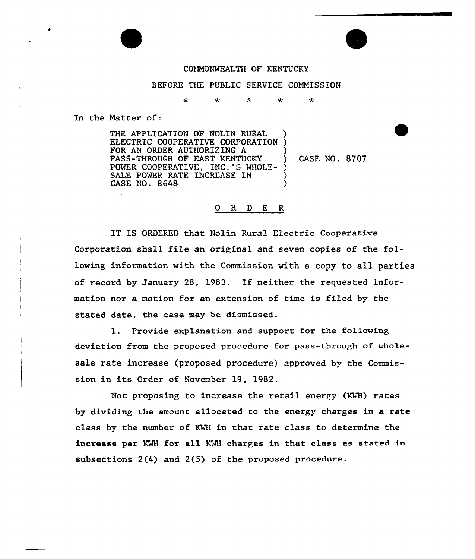## COMMONWEALTH OF KENTUCKY

## BEFORE THE PUBLIC SERVICE CONNISSION

r. a. ىد ىك

In the Natter of:

THE APPLICATION OF NOLIN RURAL ELECTRIC COOPERATIVE CORPORATION FOR AN ORDER AUTHORIZING A PASS-THROUGH OF EAST KENTUCKY POWER COOPERATIVE, INC.'S WHOLE-SALE POWER RATE INCREASE IN CASE NO. 8648 ) ) ) ) CASE NO. 8707 ) ) )

## ORDER

IT IS ORDERED that Nolin Rural Electric Cooperative Corporation shall file an original and seven copies of the following information with the Commission with a copy to all parties of record by January 28, 1983. If neither the requested information nor a motion for an extension of time is filed by the stated date, the case may be dismissed.

1. Provide explanation and support for the following deviation from the proposed procedure for pass-through of wholesale rate increase (proposed procedure) approved by the Commission in its Order of November 19, 1982.

Not proposing to increase the retail energy (KWH) rates by dividing the amount allocated to the energy charges in a rate class by the number of KWH in that rate class to determine the increase per KMH for a11 KMH charges in that class as stated in subsections 2(4) and 2(5) of the proposed procedure.